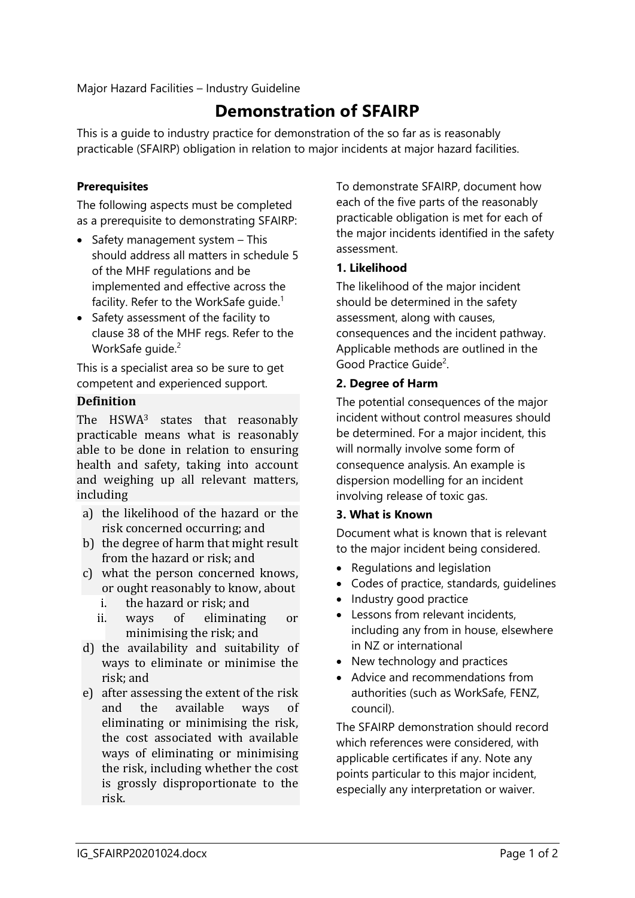Major Hazard Facilities – Industry Guideline

# **Demonstration of SFAIRP**

This is a guide to industry practice for demonstration of the so far as is reasonably practicable (SFAIRP) obligation in relation to major incidents at major hazard facilities.

## **Prerequisites**

The following aspects must be completed as a prerequisite to demonstrating SFAIRP:

- Safety management system This should address all matters in schedule 5 of the MHF regulations and be implemented and effective across the facility. Refer to the WorkSafe guide.<sup>1</sup>
- Safety assessment of the facility to clause 38 of the MHF regs. Refer to the WorkSafe quide.<sup>2</sup>

<span id="page-0-0"></span>This is a specialist area so be sure to get competent and experienced support.

## **Definition**

The HSWA<sup>3</sup> states that reasonably practicable means what is reasonably able to be done in relation to ensuring health and safety, taking into account and weighing up all relevant matters, including

- a) the likelihood of the hazard or the risk concerned occurring; and
- b) the degree of harm that might result from the hazard or risk; and
- c) what the person concerned knows, or ought reasonably to know, about
	- i. the hazard or risk; and
	- ii. ways of eliminating or minimising the risk; and
- d) the availability and suitability of ways to eliminate or minimise the risk; and
- e) after assessing the extent of the risk and the available ways of eliminating or minimising the risk, the cost associated with available ways of eliminating or minimising the risk, including whether the cost is grossly disproportionate to the risk.

To demonstrate SFAIRP, document how each of the five parts of the reasonably practicable obligation is met for each of the major incidents identified in the safety assessment.

## **1. Likelihood**

The likelihood of the major incident should be determined in the safety assessment, along with causes, consequences and the incident pathway. Applicable methods are outlined in the Good Practice Guide<sup>[2](#page-0-0)</sup>.

## **2. Degree of Harm**

The potential consequences of the major incident without control measures should be determined. For a major incident, this will normally involve some form of consequence analysis. An example is dispersion modelling for an incident involving release of toxic gas.

## **3. What is Known**

Document what is known that is relevant to the major incident being considered.

- Regulations and legislation
- Codes of practice, standards, guidelines
- Industry good practice
- Lessons from relevant incidents, including any from in house, elsewhere in NZ or international
- New technology and practices
- Advice and recommendations from authorities (such as WorkSafe, FENZ, council).

The SFAIRP demonstration should record which references were considered, with applicable certificates if any. Note any points particular to this major incident, especially any interpretation or waiver.